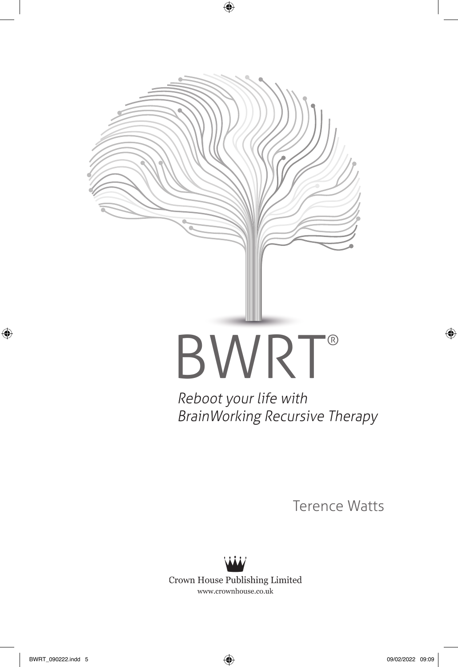

Reboot your life with BrainWorking Recursive Therapy

Terence Watts



Crown House Publishing Limited www.crownhouse.co.uk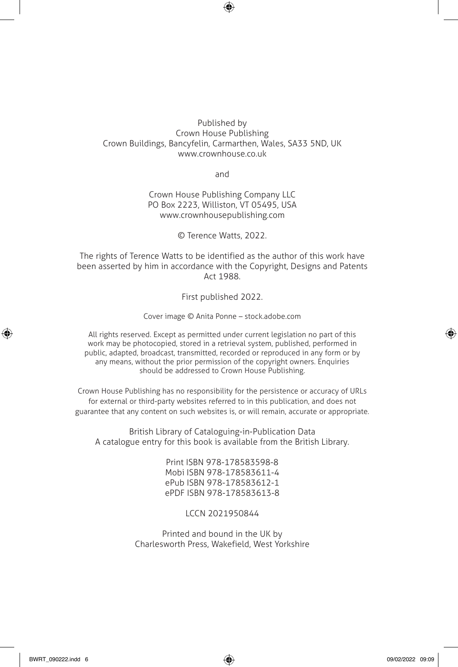#### Published by Crown House Publishing Crown Buildings, Bancyfelin, Carmarthen, Wales, SA33 5ND, UK www.crownhouse.co.uk

and

#### Crown House Publishing Company LLC PO Box 2223, Williston, VT 05495, USA www.crownhousepublishing.com

© Terence Watts, 2022.

The rights of Terence Watts to be identified as the author of this work have been asserted by him in accordance with the Copyright, Designs and Patents Act 1988.

First published 2022.

Cover image © Anita Ponne – stock.adobe.com

All rights reserved. Except as permitted under current legislation no part of this work may be photocopied, stored in a retrieval system, published, performed in public, adapted, broadcast, transmitted, recorded or reproduced in any form or by any means, without the prior permission of the copyright owners. Enquiries should be addressed to Crown House Publishing.

Crown House Publishing has no responsibility for the persistence or accuracy of URLs for external or third-party websites referred to in this publication, and does not guarantee that any content on such websites is, or will remain, accurate or appropriate.

British Library of Cataloguing-in-Publication Data A catalogue entry for this book is available from the British Library.

> Print ISBN 978-178583598-8 Mobi ISBN 978-178583611-4 ePub ISBN 978-178583612-1 ePDF ISBN 978-178583613-8

> > LCCN 2021950844

Printed and bound in the UK by Charlesworth Press, Wakefield, West Yorkshire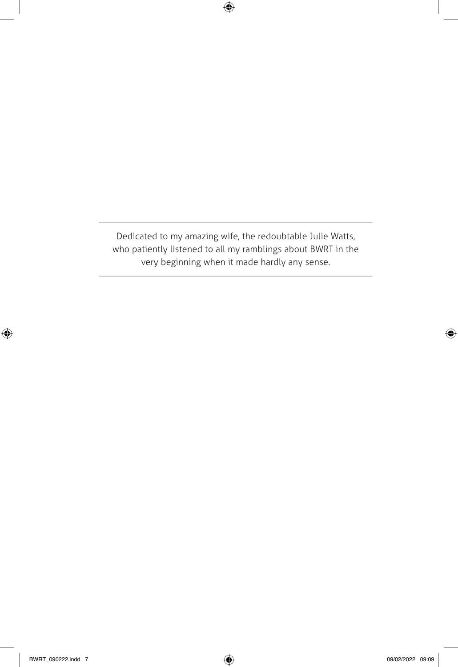Dedicated to my amazing wife, the redoubtable Julie Watts, who patiently listened to all my ramblings about BWRT in the very beginning when it made hardly any sense.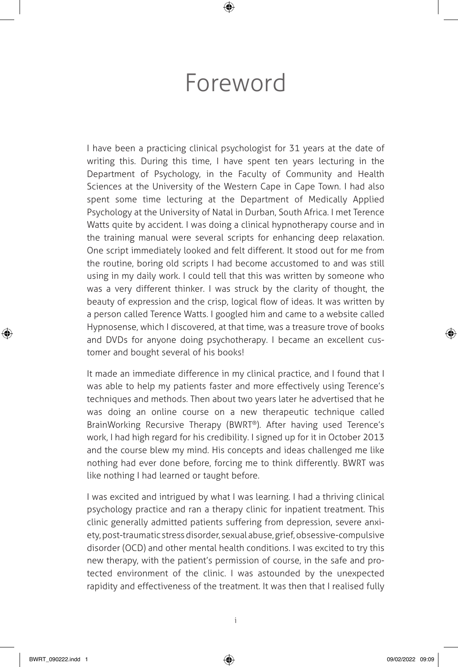## Foreword

I have been a practicing clinical psychologist for 31 years at the date of writing this. During this time, I have spent ten years lecturing in the Department of Psychology, in the Faculty of Community and Health Sciences at the University of the Western Cape in Cape Town. I had also spent some time lecturing at the Department of Medically Applied Psychology at the University of Natal in Durban, South Africa. I met Terence Watts quite by accident. I was doing a clinical hypnotherapy course and in the training manual were several scripts for enhancing deep relaxation. One script immediately looked and felt different. It stood out for me from the routine, boring old scripts I had become accustomed to and was still using in my daily work. I could tell that this was written by someone who was a very different thinker. I was struck by the clarity of thought, the beauty of expression and the crisp, logical flow of ideas. It was written by a person called Terence Watts. I googled him and came to a website called Hypnosense, which I discovered, at that time, was a treasure trove of books and DVDs for anyone doing psychotherapy. I became an excellent customer and bought several of his books!

It made an immediate difference in my clinical practice, and I found that I was able to help my patients faster and more effectively using Terence's techniques and methods. Then about two years later he advertised that he was doing an online course on a new therapeutic technique called BrainWorking Recursive Therapy (BWRT®). After having used Terence's work, I had high regard for his credibility. I signed up for it in October 2013 and the course blew my mind. His concepts and ideas challenged me like nothing had ever done before, forcing me to think differently. BWRT was like nothing I had learned or taught before.

I was excited and intrigued by what I was learning. I had a thriving clinical psychology practice and ran a therapy clinic for inpatient treatment. This clinic generally admitted patients suffering from depression, severe anxiety, post-traumatic stress disorder, sexual abuse, grief, obsessive-compulsive disorder (OCD) and other mental health conditions. I was excited to try this new therapy, with the patient's permission of course, in the safe and protected environment of the clinic. I was astounded by the unexpected rapidity and effectiveness of the treatment. It was then that I realised fully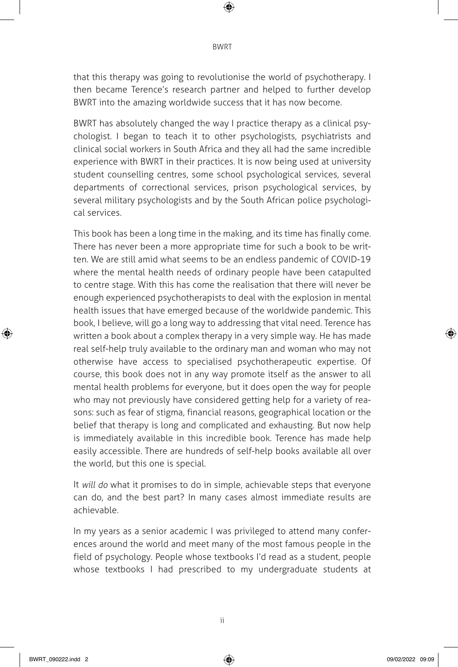that this therapy was going to revolutionise the world of psychotherapy. I then became Terence's research partner and helped to further develop BWRT into the amazing worldwide success that it has now become.

BWRT has absolutely changed the way I practice therapy as a clinical psychologist. I began to teach it to other psychologists, psychiatrists and clinical social workers in South Africa and they all had the same incredible experience with BWRT in their practices. It is now being used at university student counselling centres, some school psychological services, several departments of correctional services, prison psychological services, by several military psychologists and by the South African police psychological services.

This book has been a long time in the making, and its time has finally come. There has never been a more appropriate time for such a book to be written. We are still amid what seems to be an endless pandemic of COVID-19 where the mental health needs of ordinary people have been catapulted to centre stage. With this has come the realisation that there will never be enough experienced psychotherapists to deal with the explosion in mental health issues that have emerged because of the worldwide pandemic. This book, I believe, will go a long way to addressing that vital need. Terence has written a book about a complex therapy in a very simple way. He has made real self-help truly available to the ordinary man and woman who may not otherwise have access to specialised psychotherapeutic expertise. Of course, this book does not in any way promote itself as the answer to all mental health problems for everyone, but it does open the way for people who may not previously have considered getting help for a variety of reasons: such as fear of stigma, financial reasons, geographical location or the belief that therapy is long and complicated and exhausting. But now help is immediately available in this incredible book. Terence has made help easily accessible. There are hundreds of self-help books available all over the world, but this one is special.

It will do what it promises to do in simple, achievable steps that everyone can do, and the best part? In many cases almost immediate results are achievable.

In my years as a senior academic I was privileged to attend many conferences around the world and meet many of the most famous people in the field of psychology. People whose textbooks I'd read as a student, people whose textbooks I had prescribed to my undergraduate students at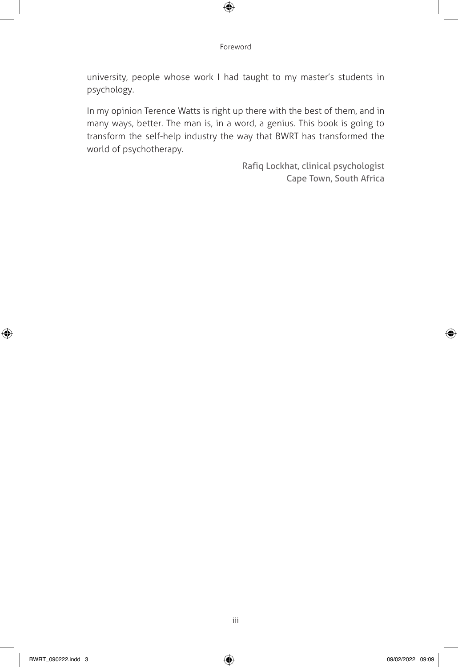university, people whose work I had taught to my master's students in psychology.

In my opinion Terence Watts is right up there with the best of them, and in many ways, better. The man is, in a word, a genius. This book is going to transform the self-help industry the way that BWRT has transformed the world of psychotherapy.

> Rafiq Lockhat, clinical psychologist Cape Town, South Africa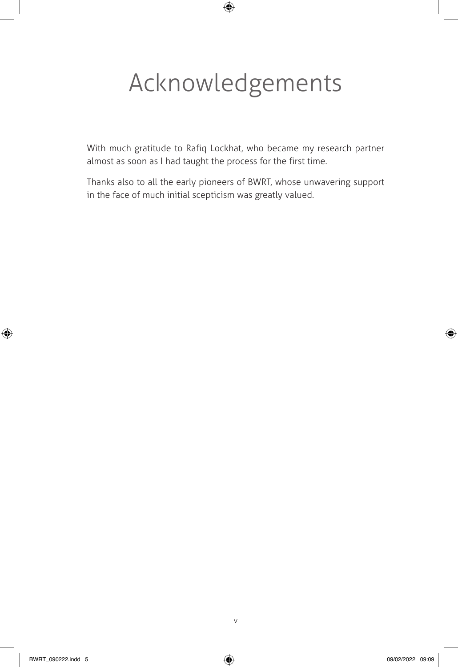# Acknowledgements

With much gratitude to Rafiq Lockhat, who became my research partner almost as soon as I had taught the process for the first time.

Thanks also to all the early pioneers of BWRT, whose unwavering support in the face of much initial scepticism was greatly valued.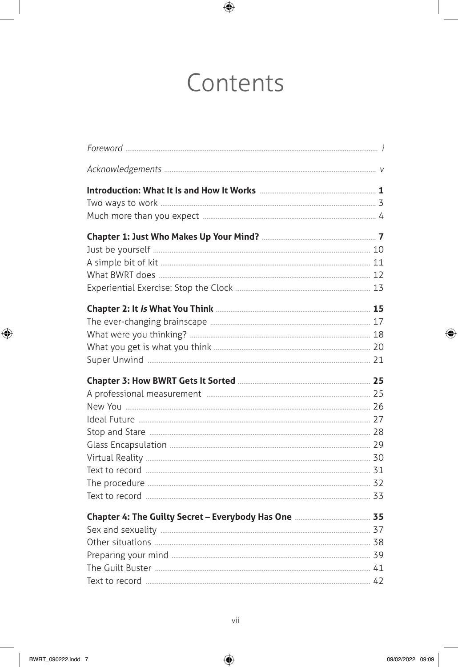## Contents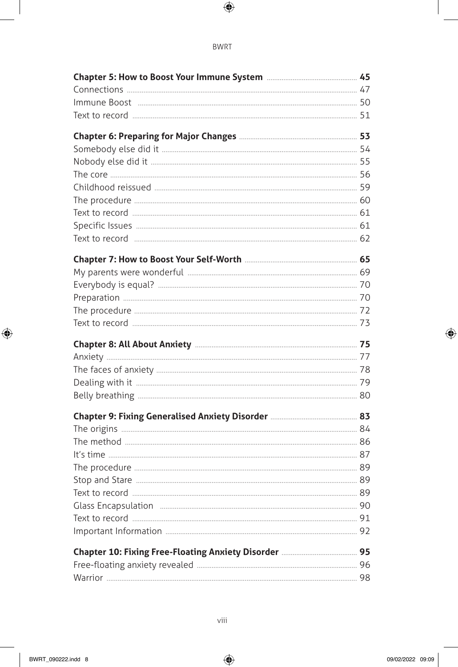#### **BWRT**

| Chapter 8: All About Anxiety <b>[2016]</b> Chapter 8: All About Anxiety <b>[2016]</b> 2016 |    |
|--------------------------------------------------------------------------------------------|----|
|                                                                                            |    |
|                                                                                            |    |
|                                                                                            |    |
|                                                                                            |    |
|                                                                                            |    |
|                                                                                            |    |
|                                                                                            |    |
|                                                                                            |    |
|                                                                                            |    |
|                                                                                            |    |
|                                                                                            | 89 |
|                                                                                            |    |
|                                                                                            |    |
|                                                                                            |    |
|                                                                                            |    |
|                                                                                            |    |
|                                                                                            |    |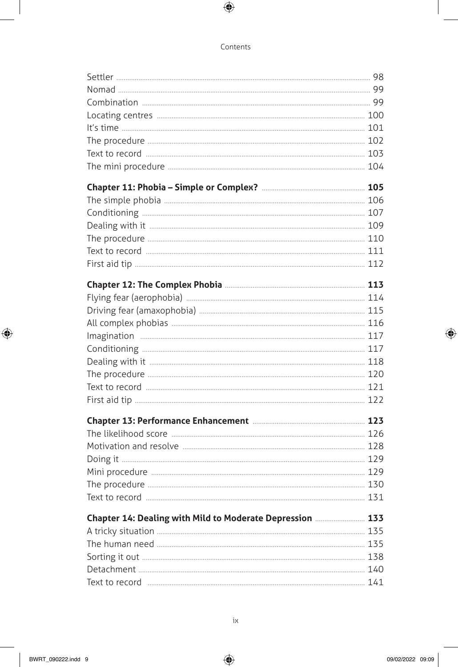| Chapter 14: Dealing with Mild to Moderate Depression  133 |  |
|-----------------------------------------------------------|--|
|                                                           |  |
|                                                           |  |
|                                                           |  |
|                                                           |  |
|                                                           |  |
|                                                           |  |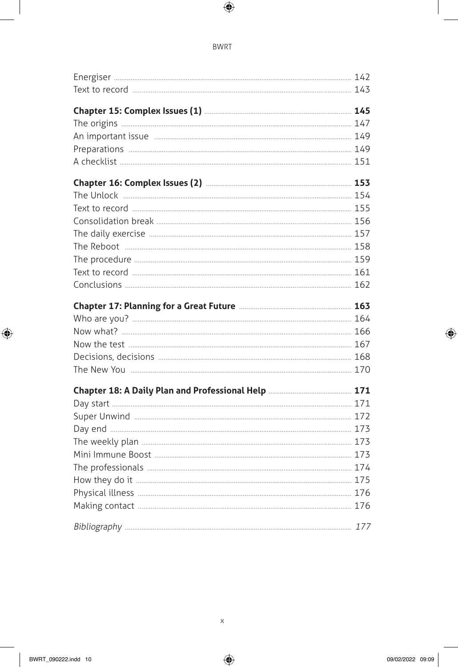#### **BWRT**

| Chapter 15: Complex Issues (1) <b>Manual Chapter 145</b>                    |  |
|-----------------------------------------------------------------------------|--|
|                                                                             |  |
|                                                                             |  |
|                                                                             |  |
|                                                                             |  |
| Chapter 16: Complex Issues (2) <b>Manual Chapter 16: Complex Issues</b> (2) |  |
|                                                                             |  |
|                                                                             |  |
|                                                                             |  |
|                                                                             |  |
|                                                                             |  |
|                                                                             |  |
|                                                                             |  |
|                                                                             |  |
|                                                                             |  |
|                                                                             |  |
|                                                                             |  |
|                                                                             |  |
|                                                                             |  |
|                                                                             |  |
|                                                                             |  |
|                                                                             |  |
|                                                                             |  |
|                                                                             |  |
|                                                                             |  |
|                                                                             |  |
|                                                                             |  |
|                                                                             |  |
|                                                                             |  |
|                                                                             |  |
|                                                                             |  |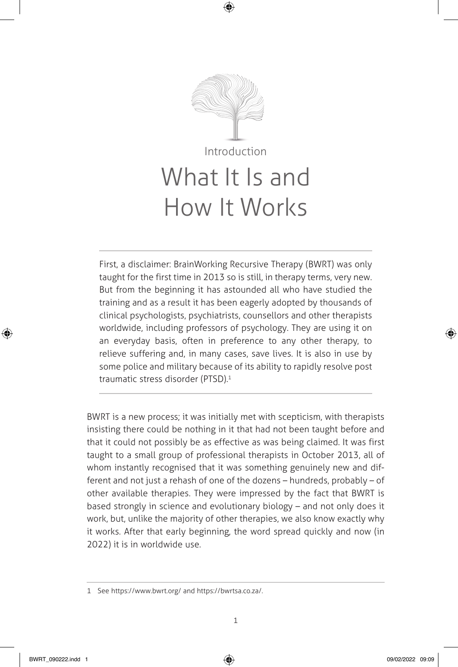

First, a disclaimer: BrainWorking Recursive Therapy (BWRT) was only taught for the first time in 2013 so is still, in therapy terms, very new. But from the beginning it has astounded all who have studied the training and as a result it has been eagerly adopted by thousands of clinical psychologists, psychiatrists, counsellors and other therapists worldwide, including professors of psychology. They are using it on an everyday basis, often in preference to any other therapy, to relieve suffering and, in many cases, save lives. It is also in use by some police and military because of its ability to rapidly resolve post traumatic stress disorder (PTSD).1

BWRT is a new process; it was initially met with scepticism, with therapists insisting there could be nothing in it that had not been taught before and that it could not possibly be as effective as was being claimed. It was first taught to a small group of professional therapists in October 2013, all of whom instantly recognised that it was something genuinely new and different and not just a rehash of one of the dozens – hundreds, probably – of other available therapies. They were impressed by the fact that BWRT is based strongly in science and evolutionary biology – and not only does it work, but, unlike the majority of other therapies, we also know exactly why it works. After that early beginning, the word spread quickly and now (in 2022) it is in worldwide use.

<sup>1</sup> See https://www.bwrt.org/ and https://bwrtsa.co.za/.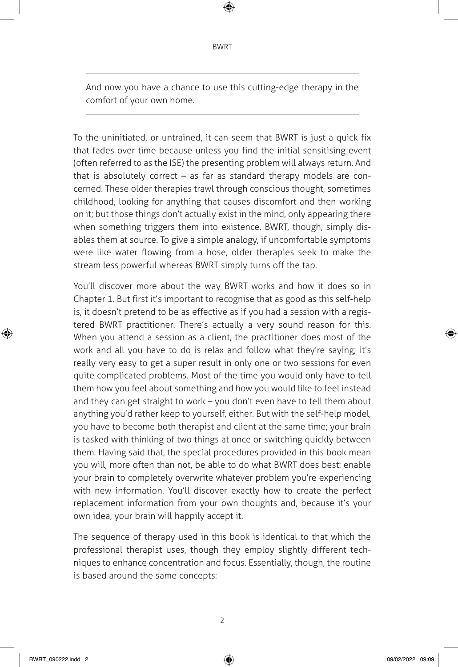And now you have a chance to use this cutting-edge therapy in the comfort of your own home.

To the uninitiated, or untrained, it can seem that BWRT is just a quick fix that fades over time because unless you find the initial sensitising event (often referred to as the ISE) the presenting problem will always return. And that is absolutely correct – as far as standard therapy models are concerned. These older therapies trawl through conscious thought, sometimes childhood, looking for anything that causes discomfort and then working on it; but those things don't actually exist in the mind, only appearing there when something triggers them into existence. BWRT, though, simply disables them at source. To give a simple analogy, if uncomfortable symptoms were like water flowing from a hose, older therapies seek to make the stream less powerful whereas BWRT simply turns off the tap.

You'll discover more about the way BWRT works and how it does so in Chapter 1. But first it's important to recognise that as good as this self-help is, it doesn't pretend to be as effective as if you had a session with a registered BWRT practitioner. There's actually a very sound reason for this. When you attend a session as a client, the practitioner does most of the work and all you have to do is relax and follow what they're saying; it's really very easy to get a super result in only one or two sessions for even quite complicated problems. Most of the time you would only have to tell them how you feel about something and how you would like to feel instead and they can get straight to work – you don't even have to tell them about anything you'd rather keep to yourself, either. But with the self-help model, you have to become both therapist and client at the same time; your brain is tasked with thinking of two things at once or switching quickly between them. Having said that, the special procedures provided in this book mean you will, more often than not, be able to do what BWRT does best: enable your brain to completely overwrite whatever problem you're experiencing with new information. You'll discover exactly how to create the perfect replacement information from your own thoughts and, because it's your own idea, your brain will happily accept it.

The sequence of therapy used in this book is identical to that which the professional therapist uses, though they employ slightly different techniques to enhance concentration and focus. Essentially, though, the routine is based around the same concepts: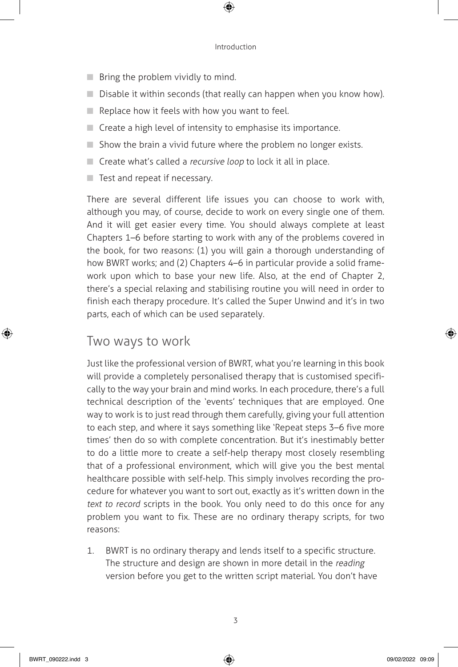- Bring the problem vividly to mind.
- Disable it within seconds (that really can happen when you know how).
- $\blacksquare$  Replace how it feels with how you want to feel.
- Create a high level of intensity to emphasise its importance.
- Show the brain a vivid future where the problem no longer exists.
- Create what's called a recursive loop to lock it all in place.
- Test and repeat if necessary.

There are several different life issues you can choose to work with, although you may, of course, decide to work on every single one of them. And it will get easier every time. You should always complete at least Chapters 1–6 before starting to work with any of the problems covered in the book, for two reasons: (1) you will gain a thorough understanding of how BWRT works; and (2) Chapters 4–6 in particular provide a solid framework upon which to base your new life. Also, at the end of Chapter 2, there's a special relaxing and stabilising routine you will need in order to finish each therapy procedure. It's called the Super Unwind and it's in two parts, each of which can be used separately.

### Two ways to work

Just like the professional version of BWRT, what you're learning in this book will provide a completely personalised therapy that is customised specifically to the way your brain and mind works. In each procedure, there's a full technical description of the 'events' techniques that are employed. One way to work is to just read through them carefully, giving your full attention to each step, and where it says something like 'Repeat steps 3–6 five more times' then do so with complete concentration. But it's inestimably better to do a little more to create a self-help therapy most closely resembling that of a professional environment, which will give you the best mental healthcare possible with self-help. This simply involves recording the procedure for whatever you want to sort out, exactly as it's written down in the text to record scripts in the book. You only need to do this once for any problem you want to fix. These are no ordinary therapy scripts, for two reasons:

1. BWRT is no ordinary therapy and lends itself to a specific structure. The structure and design are shown in more detail in the reading version before you get to the written script material. You don't have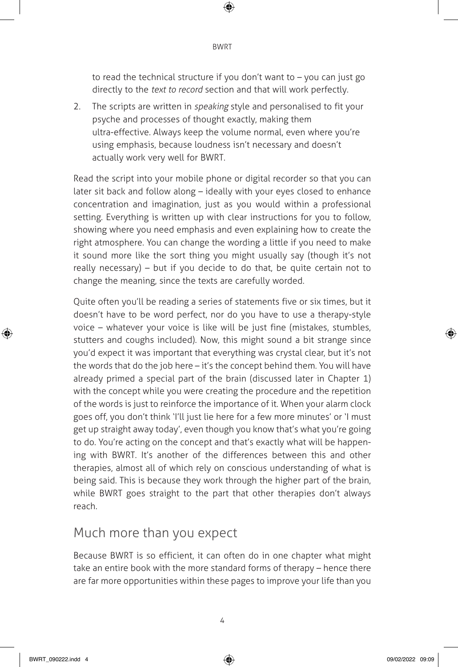to read the technical structure if you don't want to – you can just go directly to the *text to record* section and that will work perfectly.

2. The scripts are written in speaking style and personalised to fit your psyche and processes of thought exactly, making them ultra-effective. Always keep the volume normal, even where you're using emphasis, because loudness isn't necessary and doesn't actually work very well for BWRT.

Read the script into your mobile phone or digital recorder so that you can later sit back and follow along – ideally with your eyes closed to enhance concentration and imagination, just as you would within a professional setting. Everything is written up with clear instructions for you to follow, showing where you need emphasis and even explaining how to create the right atmosphere. You can change the wording a little if you need to make it sound more like the sort thing you might usually say (though it's not really necessary) – but if you decide to do that, be quite certain not to change the meaning, since the texts are carefully worded.

Quite often you'll be reading a series of statements five or six times, but it doesn't have to be word perfect, nor do you have to use a therapy-style voice – whatever your voice is like will be just fine (mistakes, stumbles, stutters and coughs included). Now, this might sound a bit strange since you'd expect it was important that everything was crystal clear, but it's not the words that do the job here – it's the concept behind them. You will have already primed a special part of the brain (discussed later in Chapter 1) with the concept while you were creating the procedure and the repetition of the words is just to reinforce the importance of it. When your alarm clock goes off, you don't think 'I'll just lie here for a few more minutes' or 'I must get up straight away today', even though you know that's what you're going to do. You're acting on the concept and that's exactly what will be happening with BWRT. It's another of the differences between this and other therapies, almost all of which rely on conscious understanding of what is being said. This is because they work through the higher part of the brain, while BWRT goes straight to the part that other therapies don't always reach.

## Much more than you expect

Because BWRT is so efficient, it can often do in one chapter what might take an entire book with the more standard forms of therapy – hence there are far more opportunities within these pages to improve your life than you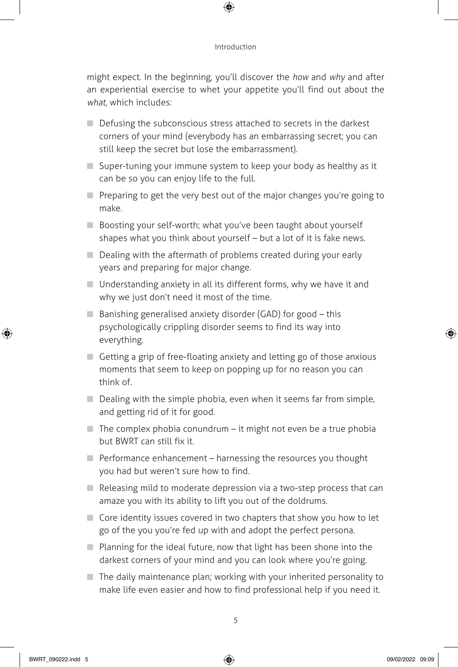might expect. In the beginning, you'll discover the how and why and after an experiential exercise to whet your appetite you'll find out about the what, which includes:

- Defusing the subconscious stress attached to secrets in the darkest corners of your mind (everybody has an embarrassing secret; you can still keep the secret but lose the embarrassment).
- Super-tuning your immune system to keep your body as healthy as it can be so you can enjoy life to the full.
- Preparing to get the very best out of the major changes you're going to make.
- Boosting your self-worth; what you've been taught about yourself shapes what you think about yourself – but a lot of it is fake news.
- Dealing with the aftermath of problems created during your early years and preparing for major change.
- $\blacksquare$  Understanding anxiety in all its different forms, why we have it and why we just don't need it most of the time.
- $\Box$  Banishing generalised anxiety disorder (GAD) for good this psychologically crippling disorder seems to find its way into everything.
- Getting a grip of free-floating anxiety and letting go of those anxious moments that seem to keep on popping up for no reason you can think of.
- Dealing with the simple phobia, even when it seems far from simple, and getting rid of it for good.
- $\blacksquare$  The complex phobia conundrum it might not even be a true phobia but BWRT can still fix it.
- $\blacksquare$  Performance enhancement harnessing the resources you thought you had but weren't sure how to find.
- $\Box$  Releasing mild to moderate depression via a two-step process that can amaze you with its ability to lift you out of the doldrums.
- $\Box$  Core identity issues covered in two chapters that show you how to let go of the you you're fed up with and adopt the perfect persona.
- Planning for the ideal future, now that light has been shone into the darkest corners of your mind and you can look where you're going.
- The daily maintenance plan; working with your inherited personality to make life even easier and how to find professional help if you need it.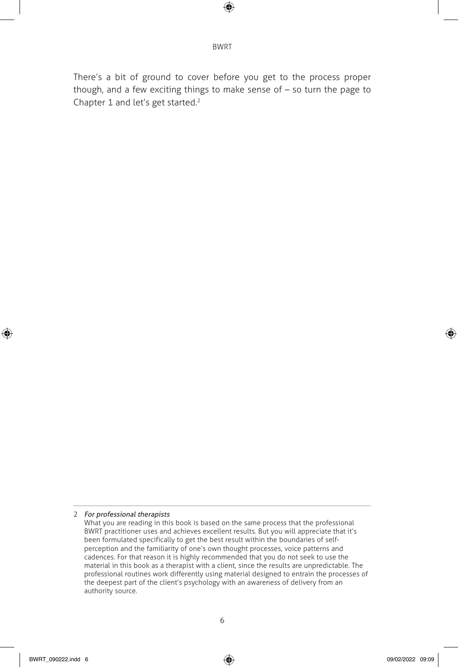There's a bit of ground to cover before you get to the process proper though, and a few exciting things to make sense of – so turn the page to Chapter 1 and let's get started.<sup>2</sup>

<sup>2</sup> For professional therapists

What you are reading in this book is based on the same process that the professional BWRT practitioner uses and achieves excellent results. But you will appreciate that it's been formulated specifically to get the best result within the boundaries of selfperception and the familiarity of one's own thought processes, voice patterns and cadences. For that reason it is highly recommended that you do not seek to use the material in this book as a therapist with a client, since the results are unpredictable. The professional routines work differently using material designed to entrain the processes of the deepest part of the client's psychology with an awareness of delivery from an authority source.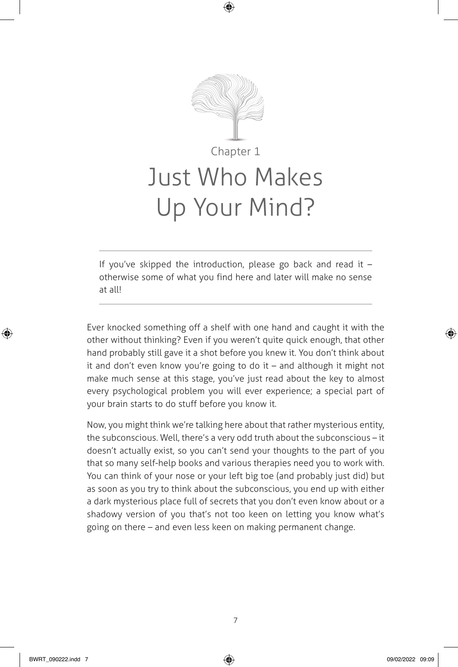

If you've skipped the introduction, please go back and read it  $$ otherwise some of what you find here and later will make no sense at all!

Ever knocked something off a shelf with one hand and caught it with the other without thinking? Even if you weren't quite quick enough, that other hand probably still gave it a shot before you knew it. You don't think about it and don't even know you're going to do it – and although it might not make much sense at this stage, you've just read about the key to almost every psychological problem you will ever experience; a special part of your brain starts to do stuff before you know it.

Now, you might think we're talking here about that rather mysterious entity, the subconscious. Well, there's a very odd truth about the subconscious – it doesn't actually exist, so you can't send your thoughts to the part of you that so many self-help books and various therapies need you to work with. You can think of your nose or your left big toe (and probably just did) but as soon as you try to think about the subconscious, you end up with either a dark mysterious place full of secrets that you don't even know about or a shadowy version of you that's not too keen on letting you know what's going on there – and even less keen on making permanent change.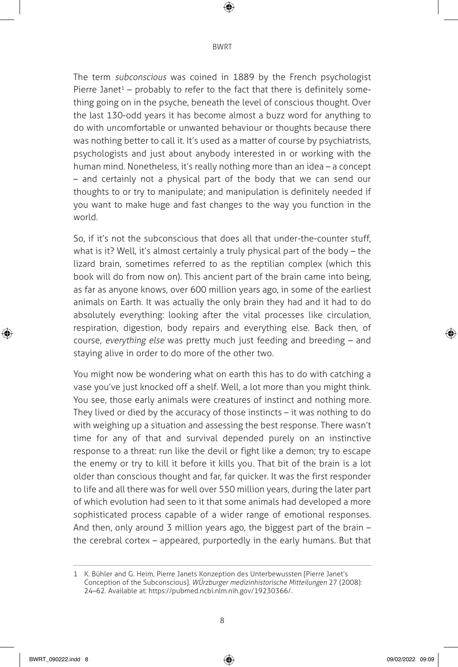The term subconscious was coined in 1889 by the French psychologist Pierre Janet<sup>1</sup> – probably to refer to the fact that there is definitely something going on in the psyche, beneath the level of conscious thought. Over the last 130-odd years it has become almost a buzz word for anything to do with uncomfortable or unwanted behaviour or thoughts because there was nothing better to call it. It's used as a matter of course by psychiatrists, psychologists and just about anybody interested in or working with the human mind. Nonetheless, it's really nothing more than an idea – a concept – and certainly not a physical part of the body that we can send our thoughts to or try to manipulate; and manipulation is definitely needed if you want to make huge and fast changes to the way you function in the world.

So, if it's not the subconscious that does all that under-the-counter stuff, what is it? Well, it's almost certainly a truly physical part of the body – the lizard brain, sometimes referred to as the reptilian complex (which this book will do from now on). This ancient part of the brain came into being, as far as anyone knows, over 600 million years ago, in some of the earliest animals on Earth. It was actually the only brain they had and it had to do absolutely everything: looking after the vital processes like circulation, respiration, digestion, body repairs and everything else. Back then, of course, everything else was pretty much just feeding and breeding – and staying alive in order to do more of the other two.

You might now be wondering what on earth this has to do with catching a vase you've just knocked off a shelf. Well, a lot more than you might think. You see, those early animals were creatures of instinct and nothing more. They lived or died by the accuracy of those instincts – it was nothing to do with weighing up a situation and assessing the best response. There wasn't time for any of that and survival depended purely on an instinctive response to a threat: run like the devil or fight like a demon; try to escape the enemy or try to kill it before it kills you. That bit of the brain is a lot older than conscious thought and far, far quicker. It was the first responder to life and all there was for well over 550 million years, during the later part of which evolution had seen to it that some animals had developed a more sophisticated process capable of a wider range of emotional responses. And then, only around 3 million years ago, the biggest part of the brain – the cerebral cortex – appeared, purportedly in the early humans. But that

<sup>1</sup> K. Bühler and G. Heim, Pierre Janets Konzeption des Unterbewussten [Pierre Janet's Conception of the Subconscious]. WÜrzburger medizinhistorische Mitteilungen 27 (2008): 24–62. Available at: https://pubmed.ncbi.nlm.nih.gov/19230366/.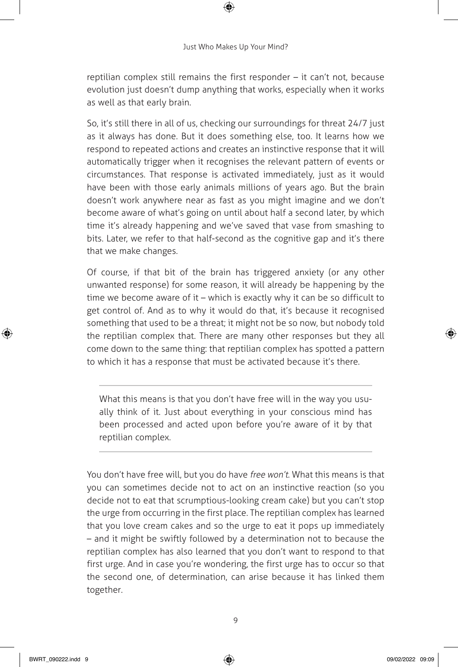reptilian complex still remains the first responder – it can't not, because evolution just doesn't dump anything that works, especially when it works as well as that early brain.

So, it's still there in all of us, checking our surroundings for threat 24/7 just as it always has done. But it does something else, too. It learns how we respond to repeated actions and creates an instinctive response that it will automatically trigger when it recognises the relevant pattern of events or circumstances. That response is activated immediately, just as it would have been with those early animals millions of years ago. But the brain doesn't work anywhere near as fast as you might imagine and we don't become aware of what's going on until about half a second later, by which time it's already happening and we've saved that vase from smashing to bits. Later, we refer to that half-second as the cognitive gap and it's there that we make changes.

Of course, if that bit of the brain has triggered anxiety (or any other unwanted response) for some reason, it will already be happening by the time we become aware of it – which is exactly why it can be so difficult to get control of. And as to why it would do that, it's because it recognised something that used to be a threat; it might not be so now, but nobody told the reptilian complex that. There are many other responses but they all come down to the same thing: that reptilian complex has spotted a pattern to which it has a response that must be activated because it's there.

What this means is that you don't have free will in the way you usually think of it. Just about everything in your conscious mind has been processed and acted upon before you're aware of it by that reptilian complex.

You don't have free will, but you do have free won't. What this means is that you can sometimes decide not to act on an instinctive reaction (so you decide not to eat that scrumptious-looking cream cake) but you can't stop the urge from occurring in the first place. The reptilian complex has learned that you love cream cakes and so the urge to eat it pops up immediately – and it might be swiftly followed by a determination not to because the reptilian complex has also learned that you don't want to respond to that first urge. And in case you're wondering, the first urge has to occur so that the second one, of determination, can arise because it has linked them together.